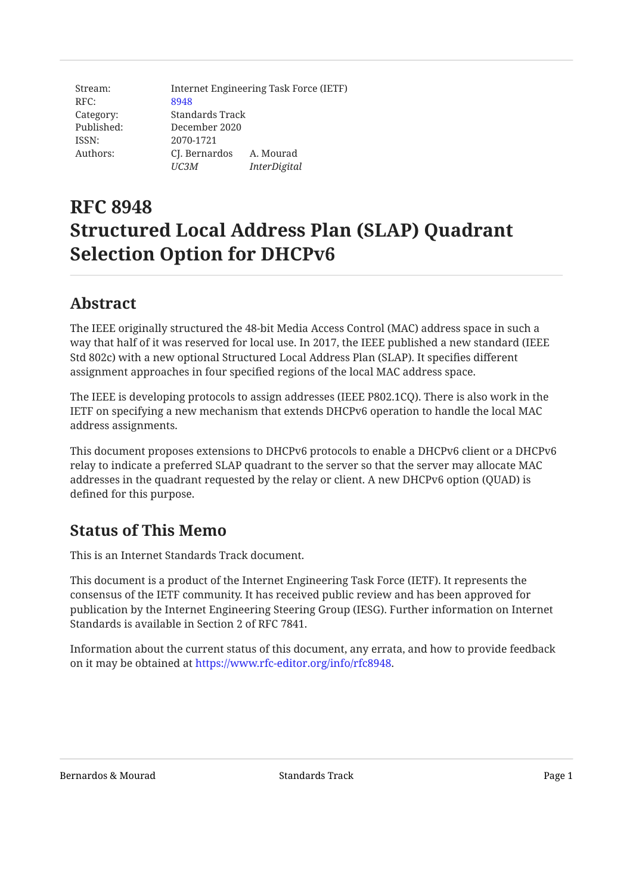| Stream:    | Internet Engineering Task Force (IETF) |                     |  |
|------------|----------------------------------------|---------------------|--|
| RFC:       | 8948                                   |                     |  |
| Category:  | Standards Track                        |                     |  |
| Published: | December 2020                          |                     |  |
| ISSN:      | 2070-1721                              |                     |  |
| Authors:   | CJ. Bernardos                          | A. Mourad           |  |
|            | UC3M                                   | <i>InterDigital</i> |  |

# **RFC 8948 Structured Local Address Plan (SLAP) Quadrant Selection Option for DHCPv6**

# <span id="page-0-0"></span>**[Abstract](#page-0-0)**

The IEEE originally structured the 48-bit Media Access Control (MAC) address space in such a way that half of it was reserved for local use. In 2017, the IEEE published a new standard (IEEE Std 802c) with a new optional Structured Local Address Plan (SLAP). It specifies different assignment approaches in four specified regions of the local MAC address space.

The IEEE is developing protocols to assign addresses (IEEE P802.1CQ). There is also work in the IETF on specifying a new mechanism that extends DHCPv6 operation to handle the local MAC address assignments.

This document proposes extensions to DHCPv6 protocols to enable a DHCPv6 client or a DHCPv6 relay to indicate a preferred SLAP quadrant to the server so that the server may allocate MAC addresses in the quadrant requested by the relay or client. A new DHCPv6 option (QUAD) is defined for this purpose.

# <span id="page-0-1"></span>**[Status of This Memo](#page-0-1)**

This is an Internet Standards Track document.

This document is a product of the Internet Engineering Task Force (IETF). It represents the consensus of the IETF community. It has received public review and has been approved for publication by the Internet Engineering Steering Group (IESG). Further information on Internet Standards is available in Section 2 of RFC 7841.

Information about the current status of this document, any errata, and how to provide feedback on it may be obtained at <https://www.rfc-editor.org/info/rfc8948>.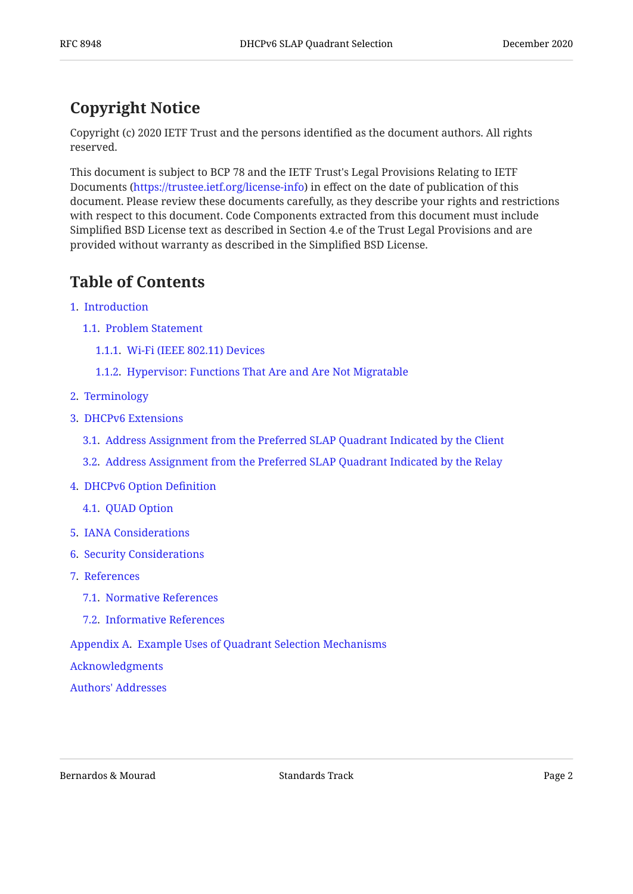# <span id="page-1-0"></span>**[Copyright Notice](#page-1-0)**

Copyright (c) 2020 IETF Trust and the persons identified as the document authors. All rights reserved.

This document is subject to BCP 78 and the IETF Trust's Legal Provisions Relating to IETF Documents (<https://trustee.ietf.org/license-info>) in effect on the date of publication of this document. Please review these documents carefully, as they describe your rights and restrictions with respect to this document. Code Components extracted from this document must include Simplified BSD License text as described in Section 4.e of the Trust Legal Provisions and are provided without warranty as described in the Simplified BSD License.

# <span id="page-1-1"></span>**[Table of Contents](#page-1-1)**

- [1.](#page-2-0) [Introduction](#page-2-0)
	- [1.1.](#page-3-0) [Problem Statement](#page-3-0)
		- [1.1.1.](#page-3-1) [Wi-Fi \(IEEE 802.11\) Devices](#page-3-1)
		- [1.1.2.](#page-4-0) [Hypervisor: Functions That Are and Are Not Migratable](#page-4-0)
- [2.](#page-4-1) [Terminology](#page-4-1)
- [3.](#page-5-0) [DHCPv6 Extensions](#page-5-0)
	- [3.1.](#page-5-1) [Address Assignment from the Preferred SLAP Quadrant Indicated by the Client](#page-5-1)
	- [3.2.](#page-7-0) [Address Assignment from the Preferred SLAP Quadrant Indicated by the Relay](#page-7-0)
- [4.](#page-10-0) [DHCPv6 Option De](#page-10-0)finition
	- [4.1.](#page-10-1) [QUAD Option](#page-10-1)
- [5.](#page-11-0) [IANA Considerations](#page-11-0)
- [6.](#page-11-1) [Security Considerations](#page-11-1)
- [7.](#page-11-2) [References](#page-11-2)
	- [7.1.](#page-11-3) [Normative References](#page-11-3)
	- [7.2.](#page-12-0) [Informative References](#page-12-0)

[Appendix A.](#page-12-1) [Example Uses of Quadrant Selection Mechanisms](#page-12-1)

[Acknowledgments](#page-14-0)

[Authors' Addresses](#page-15-0)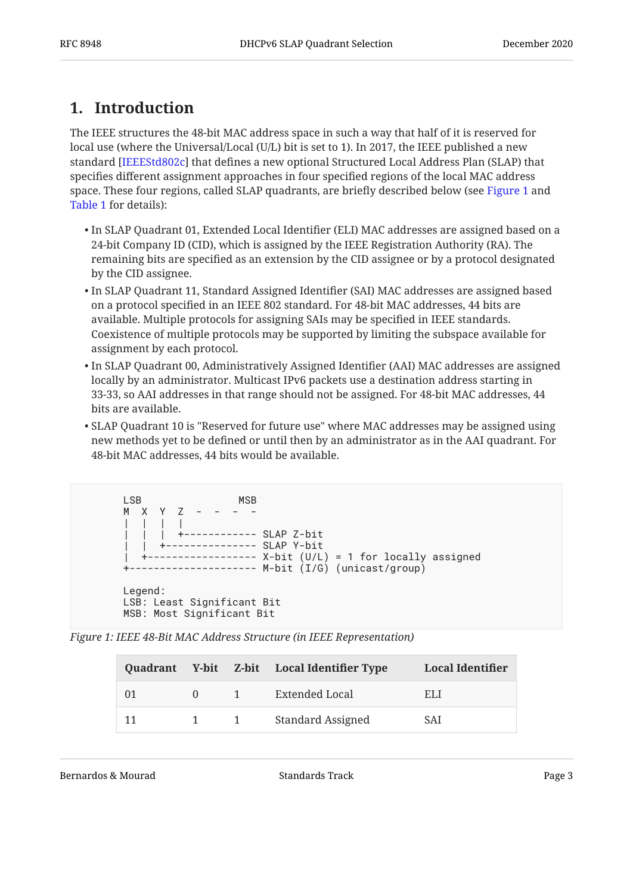# <span id="page-2-0"></span>**[1. Introduction](#page-2-0)**

The IEEE structures the 48-bit MAC address space in such a way that half of it is reserved for local use (where the Universal/Local (U/L) bit is set to 1). In 2017, the IEEE published a new standard [IEEEStd802c] that defines a new optional Structured Local Address Plan (SLAP) that specifies different assignment approaches in four specified regions of the local MAC address space. These four regions, called SLAP quadrants, are briefly described below (see [Figure 1](#page-2-1) and [Table 1](#page-2-2) for details):

- $\bullet$  In SLAP Quadrant 01, Extended Local Identifier (ELI) MAC addresses are assigned based on a 24-bit Company ID (CID), which is assigned by the IEEE Registration Authority (RA). The remaining bits are specified as an extension by the CID assignee or by a protocol designated by the CID assignee.
- In SLAP Quadrant 11, Standard Assigned Identifier (SAI) MAC addresses are assigned based on a protocol specified in an IEEE 802 standard. For 48-bit MAC addresses, 44 bits are available. Multiple protocols for assigning SAIs may be specified in IEEE standards. Coexistence of multiple protocols may be supported by limiting the subspace available for assignment by each protocol.
- In SLAP Quadrant 00, Administratively Assigned Identifier (AAI) MAC addresses are assigned locally by an administrator. Multicast IPv6 packets use a destination address starting in 33-33, so AAI addresses in that range should not be assigned. For 48-bit MAC addresses, 44 bits are available.
- SLAP Quadrant 10 is "Reserved for future use" where MAC addresses may be assigned using new methods yet to be defined or until then by an administrator as in the AAI quadrant. For 48-bit MAC addresses, 44 bits would be available.

```
 LSB MSB
      M X Y Z - - - -
| | | |
              | | | +------------ SLAP Z-bit
                   ------- SLAP Y-bit
          --------- X-bit (U/L) = 1 for locally assigned
      +--------------------- M-bit (I/G) (unicast/group)
      Legend:
      LSB: Least Significant Bit
      MSB: Most Significant Bit
```
<span id="page-2-2"></span>*[Figure 1: IEEE 48-Bit MAC Address Structure \(in IEEE Representation\)](#page-2-1)* 

<span id="page-2-3"></span>

|    |          |                                      | Quadrant Y-bit Z-bit Local Identifier Type | <b>Local Identifier</b> |
|----|----------|--------------------------------------|--------------------------------------------|-------------------------|
| 01 | $\theta$ | $\sim$ 1                             | Extended Local                             | ELI.                    |
| 11 |          | $\begin{array}{ccc} & 1 \end{array}$ | Standard Assigned                          | SAI                     |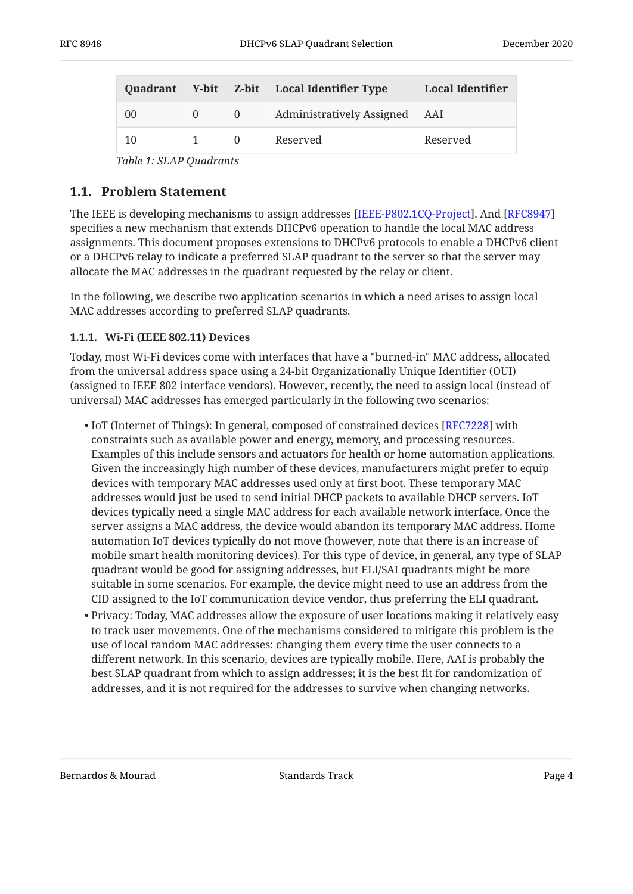|    |              |                | Quadrant Y-bit Z-bit Local Identifier Type | <b>Local Identifier</b> |
|----|--------------|----------------|--------------------------------------------|-------------------------|
| 00 | $\theta$     | $\overline{0}$ | Administratively Assigned AAI              |                         |
| 10 | $\mathbf{1}$ | $\Omega$       | Reserved                                   | Reserved                |

*[Table 1](#page-2-3): [SLAP Quadrants](#page-2-2)* 

#### <span id="page-3-0"></span>**[1.1. Problem Statement](#page-3-0)**

The IEEE is developing mechanisms to assign addresses [IEEE-P802.1CQ-Project]. And [\[RFC8947](#page-12-4)] specifies a new mechanism that extends DHCPv6 operation to handle the local MAC address assignments. This document proposes extensions to DHCPv6 protocols to enable a DHCPv6 client or a DHCPv6 relay to indicate a preferred SLAP quadrant to the server so that the server may allocate the MAC addresses in the quadrant requested by the relay or client.

In the following, we describe two application scenarios in which a need arises to assign local MAC addresses according to preferred SLAP quadrants.

#### <span id="page-3-1"></span>**[1.1.1. Wi-Fi \(IEEE 802.11\) Devices](#page-3-1)**

Today, most Wi-Fi devices come with interfaces that have a "burned-in" MAC address, allocated from the universal address space using a 24-bit Organizationally Unique Identifier (OUI) (assigned to IEEE 802 interface vendors). However, recently, the need to assign local (instead of universal) MAC addresses has emerged particularly in the following two scenarios:

- $\bullet$  IoT (Internet of Things): In general, composed of constrained devices [[RFC7228\]](#page-12-5) with constraints such as available power and energy, memory, and processing resources. Examples of this include sensors and actuators for health or home automation applications. Given the increasingly high number of these devices, manufacturers might prefer to equip devices with temporary MAC addresses used only at first boot. These temporary MAC addresses would just be used to send initial DHCP packets to available DHCP servers. IoT devices typically need a single MAC address for each available network interface. Once the server assigns a MAC address, the device would abandon its temporary MAC address. Home automation IoT devices typically do not move (however, note that there is an increase of mobile smart health monitoring devices). For this type of device, in general, any type of SLAP quadrant would be good for assigning addresses, but ELI/SAI quadrants might be more suitable in some scenarios. For example, the device might need to use an address from the CID assigned to the IoT communication device vendor, thus preferring the ELI quadrant.
- $\bullet$  Privacy: Today, MAC addresses allow the exposure of user locations making it relatively easy to track user movements. One of the mechanisms considered to mitigate this problem is the use of local random MAC addresses: changing them every time the user connects to a different network. In this scenario, devices are typically mobile. Here, AAI is probably the best SLAP quadrant from which to assign addresses; it is the best fit for randomization of addresses, and it is not required for the addresses to survive when changing networks.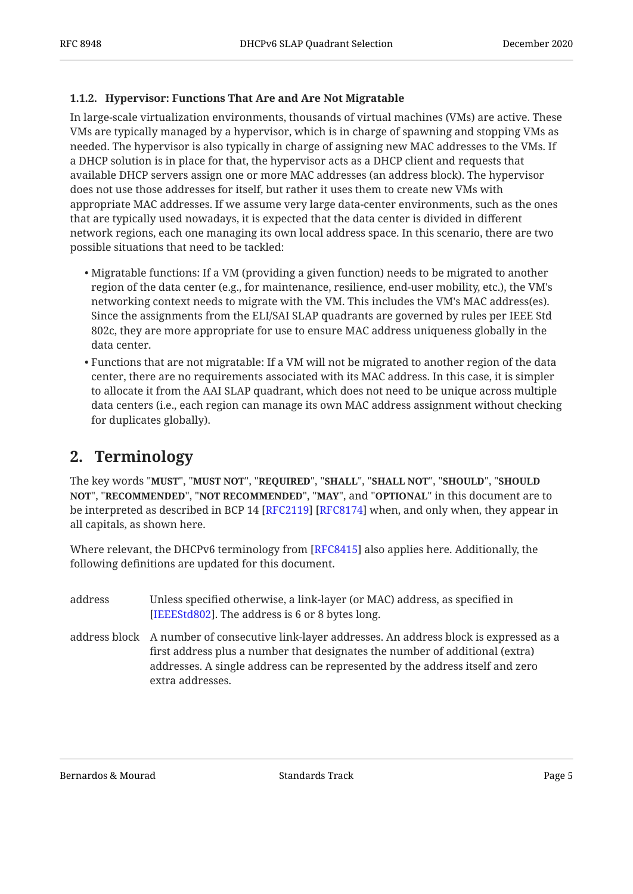#### <span id="page-4-0"></span>**[1.1.2. Hypervisor: Functions That Are and Are Not Migratable](#page-4-0)**

In large-scale virtualization environments, thousands of virtual machines (VMs) are active. These VMs are typically managed by a hypervisor, which is in charge of spawning and stopping VMs as needed. The hypervisor is also typically in charge of assigning new MAC addresses to the VMs. If a DHCP solution is in place for that, the hypervisor acts as a DHCP client and requests that available DHCP servers assign one or more MAC addresses (an address block). The hypervisor does not use those addresses for itself, but rather it uses them to create new VMs with appropriate MAC addresses. If we assume very large data-center environments, such as the ones that are typically used nowadays, it is expected that the data center is divided in different network regions, each one managing its own local address space. In this scenario, there are two possible situations that need to be tackled:

- $\bullet$  Migratable functions: If a VM (providing a given function) needs to be migrated to another region of the data center (e.g., for maintenance, resilience, end-user mobility, etc.), the VM's networking context needs to migrate with the VM. This includes the VM's MAC address(es). Since the assignments from the ELI/SAI SLAP quadrants are governed by rules per IEEE Std 802c, they are more appropriate for use to ensure MAC address uniqueness globally in the data center.
- $\bullet$  Functions that are not migratable: If a VM will not be migrated to another region of the data center, there are no requirements associated with its MAC address. In this case, it is simpler to allocate it from the AAI SLAP quadrant, which does not need to be unique across multiple data centers (i.e., each region can manage its own MAC address assignment without checking for duplicates globally).

#### <span id="page-4-1"></span>**[2. Terminology](#page-4-1)**

The key words "MUST", "MUST NOT", "REQUIRED", "SHALL", "SHALL NOT", "SHOULD", "SHOULD <code>NOT",</code> "<code>RECOMMENDED", "NOT RECOMMENDED", "MAY", and "OPTIONAL" in this document are to</code> be interpreted as described in BCP 14 [RFC2119] [RFC8174] when, and only when, they appear in all capitals, as shown here.

Where relevant, the DHCPv6 terminology from [RFC8415] also applies here. Additionally, the following definitions are updated for this document.

- address Unless specified otherwise, a link-layer (or MAC) address, as specified in [[IEEEStd802\]](#page-12-8). The address is 6 or 8 bytes long.
- address block A number of consecutive link-layer addresses. An address block is expressed as a first address plus a number that designates the number of additional (extra) addresses. A single address can be represented by the address itself and zero extra addresses.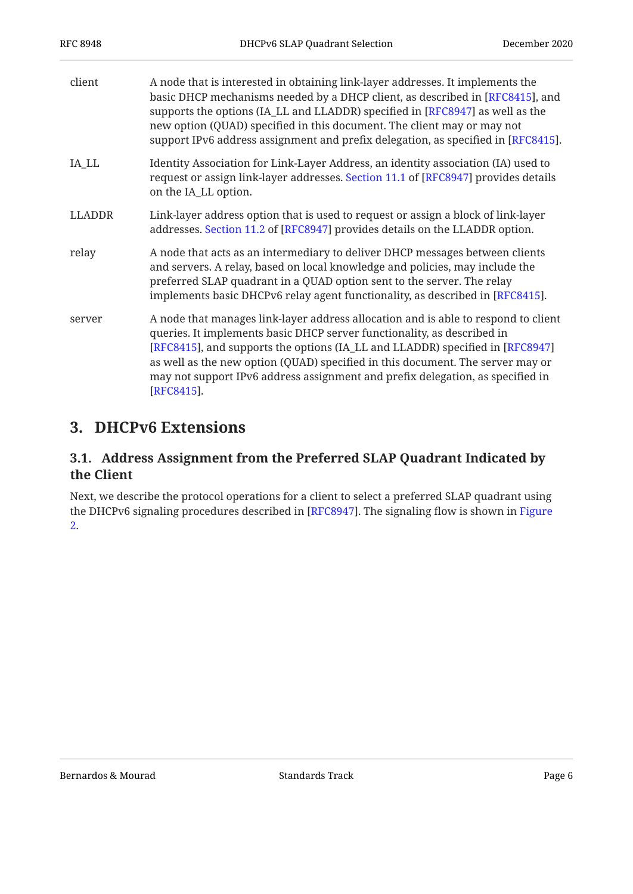| client        | A node that is interested in obtaining link-layer addresses. It implements the<br>basic DHCP mechanisms needed by a DHCP client, as described in [RFC8415], and<br>supports the options (IA_LL and LLADDR) specified in [RFC8947] as well as the<br>new option (QUAD) specified in this document. The client may or may not<br>support IPv6 address assignment and prefix delegation, as specified in [RFC8415].                 |
|---------------|----------------------------------------------------------------------------------------------------------------------------------------------------------------------------------------------------------------------------------------------------------------------------------------------------------------------------------------------------------------------------------------------------------------------------------|
| IA_LL         | Identity Association for Link-Layer Address, an identity association (IA) used to<br>request or assign link-layer addresses. Section 11.1 of [RFC8947] provides details<br>on the IA_LL option.                                                                                                                                                                                                                                  |
| <b>LLADDR</b> | Link-layer address option that is used to request or assign a block of link-layer<br>addresses. Section 11.2 of [RFC8947] provides details on the LLADDR option.                                                                                                                                                                                                                                                                 |
| relay         | A node that acts as an intermediary to deliver DHCP messages between clients<br>and servers. A relay, based on local knowledge and policies, may include the<br>preferred SLAP quadrant in a QUAD option sent to the server. The relay<br>implements basic DHCPv6 relay agent functionality, as described in [RFC8415].                                                                                                          |
| server        | A node that manages link-layer address allocation and is able to respond to client<br>queries. It implements basic DHCP server functionality, as described in<br>[RFC8415], and supports the options (IA_LL and LLADDR) specified in [RFC8947]<br>as well as the new option (QUAD) specified in this document. The server may or<br>may not support IPv6 address assignment and prefix delegation, as specified in<br>[RFC8415]. |

# <span id="page-5-1"></span><span id="page-5-0"></span>**[3. DHCPv6 Extensions](#page-5-0)**

#### **[3.1. Address Assignment from the Preferred SLAP Quadrant Indicated by](#page-5-1) [the Client](#page-5-1)**

Next, we describe the protocol operations for a client to select a preferred SLAP quadrant using the DHCPv6 signaling procedures described in [RFC8947]. The signaling flow is shown in [Figure](#page-6-0) [2.](#page-6-0)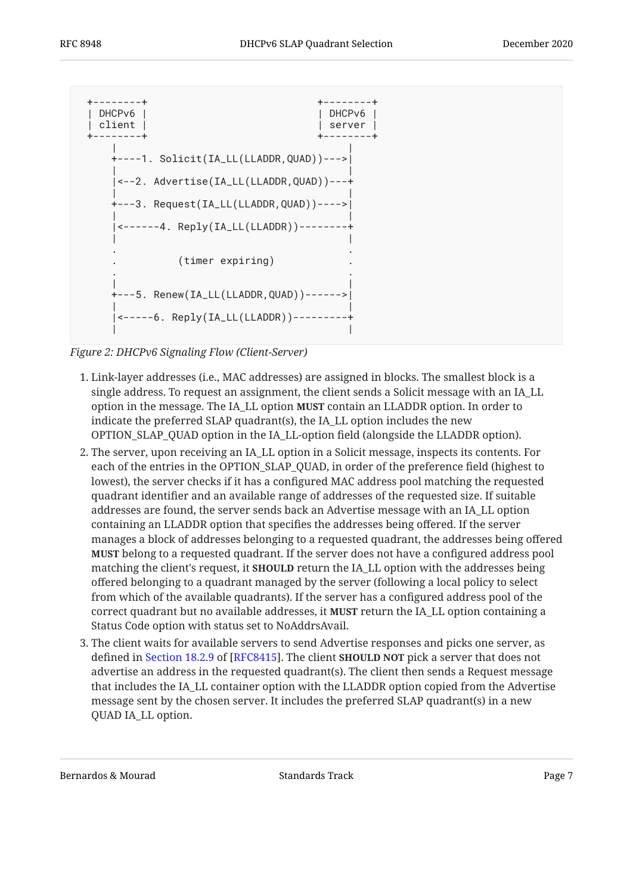<span id="page-6-0"></span>

*[Figure 2: DHCPv6 Signaling Flow \(Client-Server\)](#page-6-0)* 

- Link-layer addresses (i.e., MAC addresses) are assigned in blocks. The smallest block is a 1. single address. To request an assignment, the client sends a Solicit message with an IA\_LL option in the message. The IA\_LL option **MUST** contain an LLADDR option. In order to indicate the preferred SLAP quadrant(s), the IA\_LL option includes the new OPTION\_SLAP\_QUAD option in the IA\_LL-option field (alongside the LLADDR option).
- 2. The server, upon receiving an IA\_LL option in a Solicit message, inspects its contents. For each of the entries in the OPTION\_SLAP\_QUAD, in order of the preference field (highest to lowest), the server checks if it has a configured MAC address pool matching the requested quadrant identifier and an available range of addresses of the requested size. If suitable addresses are found, the server sends back an Advertise message with an IA\_LL option containing an LLADDR option that specifies the addresses being offered. If the server manages a block of addresses belonging to a requested quadrant, the addresses being offered belong to a requested quadrant. If the server does not have a configured address pool **MUST** matching the client's request, it **SHOULD** return the IA\_LL option with the addresses being offered belonging to a quadrant managed by the server (following a local policy to select from which of the available quadrants). If the server has a configured address pool of the correct quadrant but no available addresses, it **MUST** return the IA\_LL option containing a Status Code option with status set to NoAddrsAvail.
- The client waits for available servers to send Advertise responses and picks one server, as 3. defined in Section 18.2.9 of [RFC8415]. The client **SHOULD NOT** pick a server that does not advertise an address in the requested quadrant(s). The client then sends a Request message that includes the IA\_LL container option with the LLADDR option copied from the Advertise message sent by the chosen server. It includes the preferred SLAP quadrant(s) in a new QUAD IA\_LL option.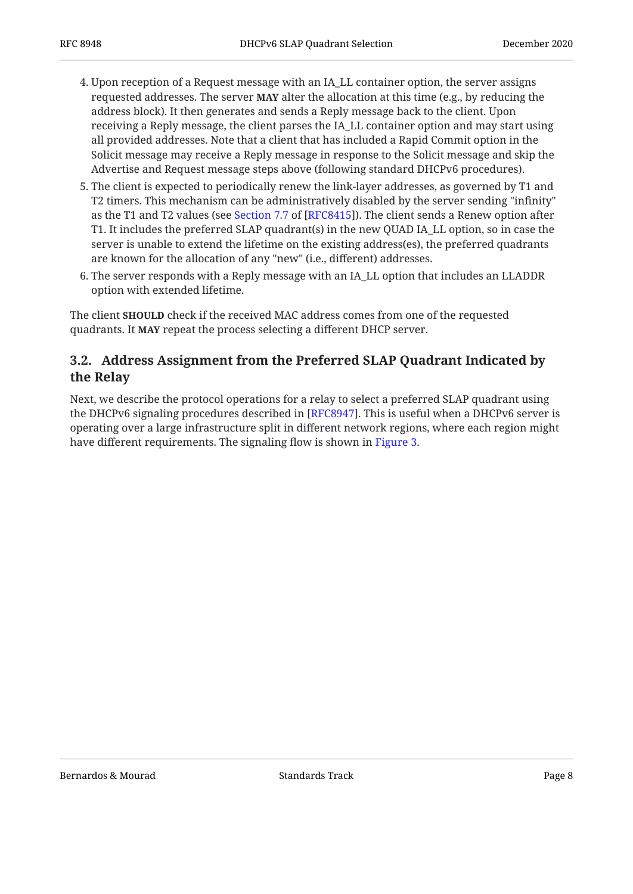- 4. Upon reception of a Request message with an IA\_LL container option, the server assigns requested addresses. The server **MAY** alter the allocation at this time (e.g., by reducing the address block). It then generates and sends a Reply message back to the client. Upon receiving a Reply message, the client parses the IA\_LL container option and may start using all provided addresses. Note that a client that has included a Rapid Commit option in the Solicit message may receive a Reply message in response to the Solicit message and skip the Advertise and Request message steps above (following standard DHCPv6 procedures).
- 5. The client is expected to periodically renew the link-layer addresses, as governed by T1 and T2 timers. This mechanism can be administratively disabled by the server sending "infinity" as the T1 and T2 values (see Section 7.7 of [RFC8415]). The client sends a Renew option after T1. It includes the preferred SLAP quadrant(s) in the new QUAD IA\_LL option, so in case the server is unable to extend the lifetime on the existing address(es), the preferred quadrants are known for the allocation of any "new" (i.e., different) addresses.
- 6. The server responds with a Reply message with an IA\_LL option that includes an LLADDR  $\,$ option with extended lifetime.

The client **SHOULD** check if the received MAC address comes from one of the requested quadrants. It MAY repeat the process selecting a different DHCP server.

#### <span id="page-7-0"></span>**[3.2. Address Assignment from the Preferred SLAP Quadrant Indicated by](#page-7-0) [the Relay](#page-7-0)**

Next, we describe the protocol operations for a relay to select a preferred SLAP quadrant using the DHCPv6 signaling procedures described in [RFC8947]. This is useful when a DHCPv6 server is operating over a large infrastructure split in different network regions, where each region might have different requirements. The signaling flow is shown in [Figure 3](#page-8-0).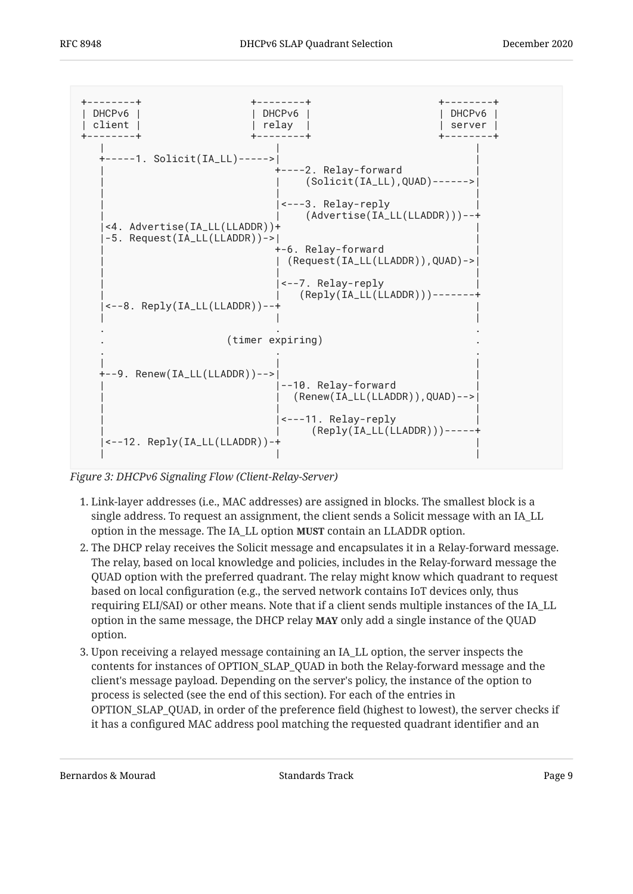<span id="page-8-0"></span>

*[Figure 3: DHCPv6 Signaling Flow \(Client-Relay-Server\)](#page-8-0)* 

- Link-layer addresses (i.e., MAC addresses) are assigned in blocks. The smallest block is a 1. single address. To request an assignment, the client sends a Solicit message with an IA\_LL option in the message. The IA\_LL option **MUST** contain an LLADDR option.
- 2. The DHCP relay receives the Solicit message and encapsulates it in a Relay-forward message. The relay, based on local knowledge and policies, includes in the Relay-forward message the QUAD option with the preferred quadrant. The relay might know which quadrant to request based on local configuration (e.g., the served network contains IoT devices only, thus requiring ELI/SAI) or other means. Note that if a client sends multiple instances of the IA\_LL option in the same message, the DHCP relay **MAY** only add a single instance of the QUAD option.
- 3. Upon receiving a relayed message containing an  $\mathrm{IA}\_ \mathrm{LL}$  option, the server inspects the contents for instances of OPTION\_SLAP\_QUAD in both the Relay-forward message and the client's message payload. Depending on the server's policy, the instance of the option to process is selected (see the end of this section). For each of the entries in OPTION\_SLAP\_QUAD, in order of the preference field (highest to lowest), the server checks if it has a configured MAC address pool matching the requested quadrant identifier and an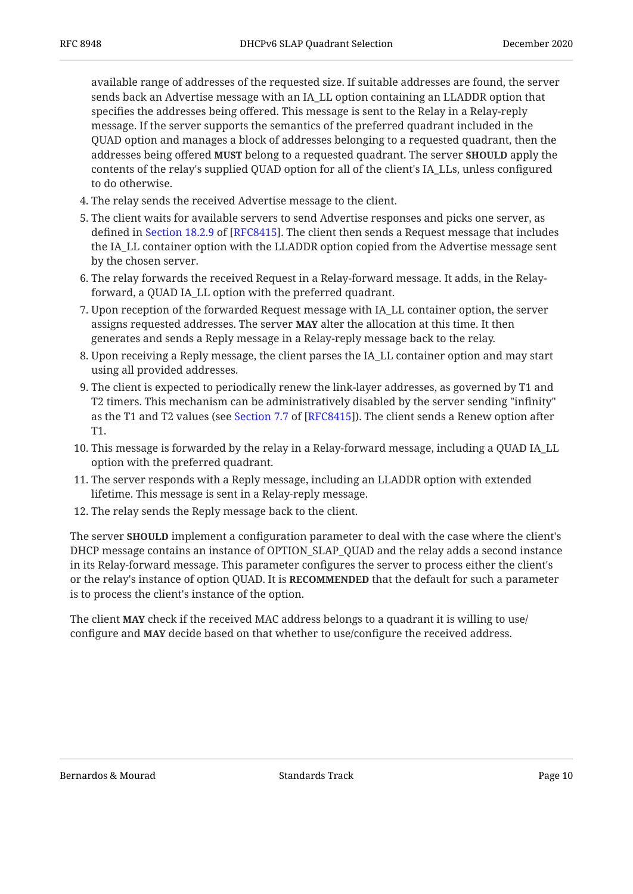available range of addresses of the requested size. If suitable addresses are found, the server sends back an Advertise message with an IA\_LL option containing an LLADDR option that specifies the addresses being offered. This message is sent to the Relay in a Relay-reply message. If the server supports the semantics of the preferred quadrant included in the QUAD option and manages a block of addresses belonging to a requested quadrant, then the addresses being offered MUST belong to a requested quadrant. The server **SHOULD** apply the contents of the relay's supplied QUAD option for all of the client's IA\_LLs, unless configured to do otherwise.

- The relay sends the received Advertise message to the client. 4.
- 5. The client waits for available servers to send Advertise responses and picks one server, as defined in Section 18.2.9 of [RFC8415]. The client then sends a Request message that includes the IA\_LL container option with the LLADDR option copied from the Advertise message sent by the chosen server.
- 6. The relay forwards the received Request in a Relay-forward message. It adds, in the Relayforward, a QUAD IA\_LL option with the preferred quadrant.
- 7. Upon reception of the forwarded Request message with IA\_LL container option, the server assigns requested addresses. The server **MAY** alter the allocation at this time. It then generates and sends a Reply message in a Relay-reply message back to the relay.
- 8. Upon receiving a Reply message, the client parses the IA\_LL container option and may start using all provided addresses.
- The client is expected to periodically renew the link-layer addresses, as governed by T1 and 9. T2 timers. This mechanism can be administratively disabled by the server sending "infinity" as the T1 and T2 values (see Section 7.7 of [RFC8415]). The client sends a Renew option after T1.
- This message is forwarded by the relay in a Relay-forward message, including a QUAD IA\_LL 10. option with the preferred quadrant.
- 11. The server responds with a Reply message, including an LLADDR option with extended lifetime. This message is sent in a Relay-reply message.
- 12. The relay sends the Reply message back to the client.

The server **SHOULD** implement a configuration parameter to deal with the case where the client's DHCP message contains an instance of OPTION\_SLAP\_QUAD and the relay adds a second instance in its Relay-forward message. This parameter configures the server to process either the client's or the relay's instance of option QUAD. It is **RECOMMENDED** that the default for such a parameter is to process the client's instance of the option.

The client **MAY** check if the received MAC address belongs to a quadrant it is willing to use/ configure and **MAY** decide based on that whether to use/configure the received address.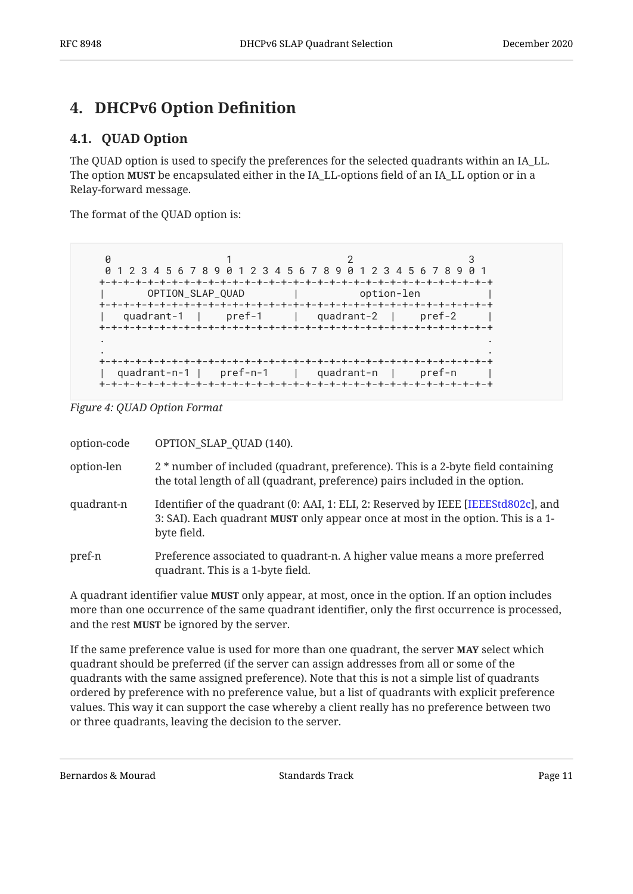# <span id="page-10-1"></span><span id="page-10-0"></span>**[4. DHCPv6 Option De](#page-10-0)finition**

#### **[4.1. QUAD Option](#page-10-1)**

The QUAD option is used to specify the preferences for the selected quadrants within an IA\_LL. The option **MUST** be encapsulated either in the IA\_LL-options field of an IA\_LL option or in a Relay-forward message.

The format of the QUAD option is:

<span id="page-10-2"></span>

|  | 0 1 2 3 4 5 6 7 8 9 0 1 2 3 4 5 6 7 8 9 0 1 2 3 4 5 6 7 8 9 0 1 |  |
|--|-----------------------------------------------------------------|--|
|  |                                                                 |  |
|  | OPTION_SLAP_QUAD   option-len                                   |  |
|  | quadrant-1   pref-1   quadrant-2   pref-2                       |  |
|  |                                                                 |  |
|  |                                                                 |  |
|  | quadrant-n-1   pref-n-1   quadrant-n   pref-n                   |  |

*[Figure 4: QUAD Option Format](#page-10-2)* 

| option-code | OPTION_SLAP_QUAD (140).                                                                                                                                                               |
|-------------|---------------------------------------------------------------------------------------------------------------------------------------------------------------------------------------|
| option-len  | 2 * number of included (quadrant, preference). This is a 2-byte field containing<br>the total length of all (quadrant, preference) pairs included in the option.                      |
| quadrant-n  | Identifier of the quadrant (0: AAI, 1: ELI, 2: Reserved by IEEE [IEEEStd802c], and<br>3: SAI). Each quadrant MUST only appear once at most in the option. This is a 1-<br>byte field. |
| pref-n      | Preference associated to quadrant-n. A higher value means a more preferred<br>quadrant. This is a 1-byte field.                                                                       |

A quadrant identifier value **MUST** only appear, at most, once in the option. If an option includes more than one occurrence of the same quadrant identifier, only the first occurrence is processed, and the rest **MUST** be ignored by the server.

If the same preference value is used for more than one quadrant, the server **MAY** select which quadrant should be preferred (if the server can assign addresses from all or some of the quadrants with the same assigned preference). Note that this is not a simple list of quadrants ordered by preference with no preference value, but a list of quadrants with explicit preference values. This way it can support the case whereby a client really has no preference between two or three quadrants, leaving the decision to the server.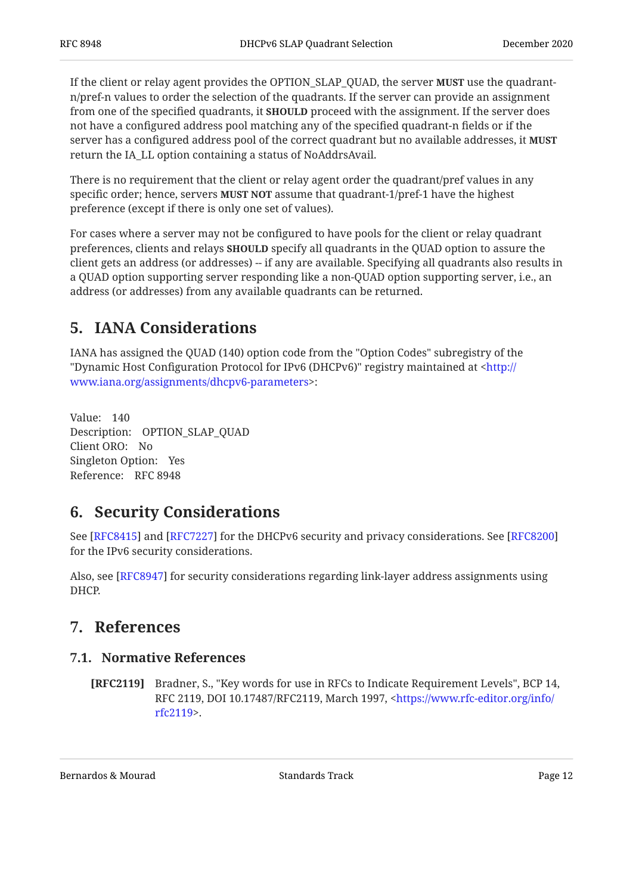If the client or relay agent provides the OPTION\_SLAP\_QUAD, the server **MUST** use the quadrantn/pref-n values to order the selection of the quadrants. If the server can provide an assignment from one of the specified quadrants, it **SHOULD** proceed with the assignment. If the server does not have a configured address pool matching any of the specified quadrant-n fields or if the server has a configured address pool of the correct quadrant but no available addresses, it **MUST** return the IA\_LL option containing a status of NoAddrsAvail.

There is no requirement that the client or relay agent order the quadrant/pref values in any specific order; hence, servers **MUST NOT** assume that quadrant-1/pref-1 have the highest preference (except if there is only one set of values).

For cases where a server may not be configured to have pools for the client or relay quadrant preferences, clients and relays **SHOULD** specify all quadrants in the QUAD option to assure the client gets an address (or addresses) -- if any are available. Specifying all quadrants also results in a QUAD option supporting server responding like a non-QUAD option supporting server, i.e., an address (or addresses) from any available quadrants can be returned.

# <span id="page-11-0"></span>**[5. IANA Considerations](#page-11-0)**

IANA has assigned the QUAD (140) option code from the "Option Codes" subregistry of the "Dynamic Host Configuration Protocol for IPv6 (DHCPv6)" registry maintained at [<http://](http://www.iana.org/assignments/dhcpv6-parameters) : [www.iana.org/assignments/dhcpv6-parameters](http://www.iana.org/assignments/dhcpv6-parameters)>

Value: 140 Description: OPTION\_SLAP\_QUAD Client ORO: No Singleton Option: Yes Reference: RFC 8948

# <span id="page-11-1"></span>**[6. Security Considerations](#page-11-1)**

See [RFC8415] and [RFC7227] for the DHCPv6 security and privacy considerations. See [[RFC8200\]](#page-12-10) for the IPv6 security considerations.

<span id="page-11-2"></span>Also, see [[RFC8947\]](#page-12-4) for security considerations regarding link-layer address assignments using DHCP.

# <span id="page-11-3"></span>**[7. References](#page-11-2)**

#### **[7.1. Normative References](#page-11-3)**

<span id="page-11-4"></span>**[RFC2119]** Bradner, S., "Key words for use in RFCs to Indicate Requirement Levels", BCP 14, RFC 2119, DOI 10.17487/RFC2119, March 1997, <[https://www.rfc-editor.org/info/](https://www.rfc-editor.org/info/rfc2119) . [rfc2119>](https://www.rfc-editor.org/info/rfc2119)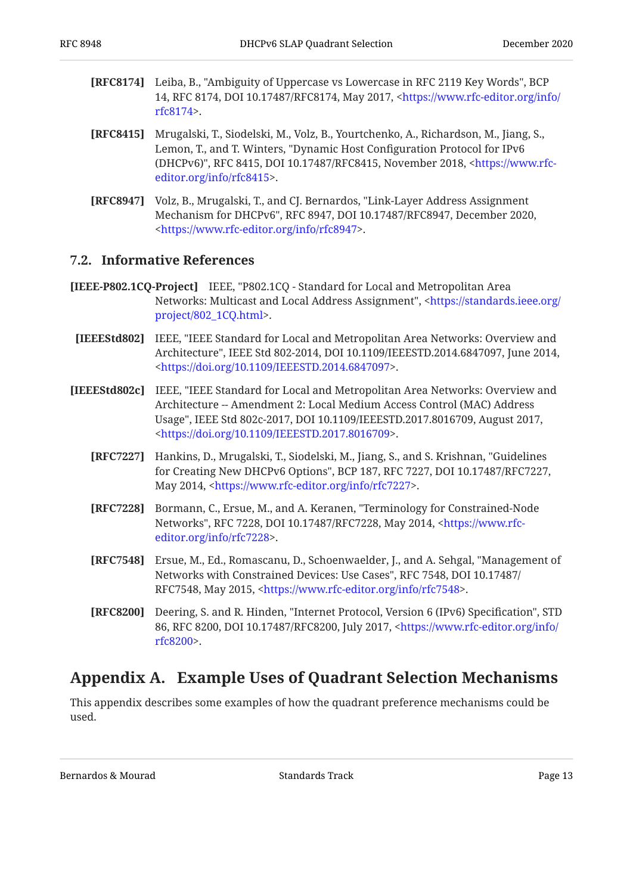- <span id="page-12-6"></span>**[RFC8174]** Leiba, B., "Ambiguity of Uppercase vs Lowercase in RFC 2119 Key Words", BCP 14, RFC 8174, DOI 10.17487/RFC8174, May 2017, [<https://www.rfc-editor.org/info/](https://www.rfc-editor.org/info/rfc8174) . [rfc8174>](https://www.rfc-editor.org/info/rfc8174)
- <span id="page-12-7"></span>**[RFC8415]** Mrugalski, T., Siodelski, M., Volz, B., Yourtchenko, A., Richardson, M., Jiang, S., Lemon, T., and T. Winters, "Dynamic Host Configuration Protocol for IPv6 (DHCPv6)", RFC 8415, DOI 10.17487/RFC8415, November 2018, <[https://www.rfc-](https://www.rfc-editor.org/info/rfc8415). [editor.org/info/rfc8415>](https://www.rfc-editor.org/info/rfc8415)
- <span id="page-12-4"></span>**[RFC8947]** Volz, B., Mrugalski, T., and CJ. Bernardos, "Link-Layer Address Assignment Mechanism for DHCPv6", RFC 8947, DOI 10.17487/RFC8947, December 2020, . [<https://www.rfc-editor.org/info/rfc8947](https://www.rfc-editor.org/info/rfc8947)>

#### <span id="page-12-0"></span>**[7.2. Informative References](#page-12-0)**

- <span id="page-12-8"></span><span id="page-12-3"></span>**[IEEE-P802.1CQ-Project]** IEEE, "P802.1CQ - Standard for Local and Metropolitan Area Networks: Multicast and Local Address Assignment", <[https://standards.ieee.org/](https://standards.ieee.org/project/802_1CQ.html) . [project/802\\_1CQ.html>](https://standards.ieee.org/project/802_1CQ.html)
	- **[IEEEStd802]** IEEE, "IEEE Standard for Local and Metropolitan Area Networks: Overview and Architecture", IEEE Std 802-2014, DOI 10.1109/IEEESTD.2014.6847097, June 2014, . [<https://doi.org/10.1109/IEEESTD.2014.6847097](https://doi.org/10.1109/IEEESTD.2014.6847097)>
- <span id="page-12-9"></span><span id="page-12-5"></span><span id="page-12-2"></span>**[IEEEStd802c]** IEEE, "IEEE Standard for Local and Metropolitan Area Networks: Overview and Usage", IEEE Std 802c-2017, DOI 10.1109/IEEESTD.2017.8016709, August 2017, . [<https://doi.org/10.1109/IEEESTD.2017.8016709](https://doi.org/10.1109/IEEESTD.2017.8016709)> Architecture -- Amendment 2: Local Medium Access Control (MAC) Address
	- **[RFC7227]** Hankins, D., Mrugalski, T., Siodelski, M., Jiang, S., and S. Krishnan, "Guidelines for Creating New DHCPv6 Options", BCP 187, RFC 7227, DOI 10.17487/RFC7227, May 2014, [<https://www.rfc-editor.org/info/rfc7227](https://www.rfc-editor.org/info/rfc7227)>.
	- **[RFC7228]** Bormann, C., Ersue, M., and A. Keranen, "Terminology for Constrained-Node Networks", RFC 7228, DOI 10.17487/RFC7228, May 2014, [<https://www.rfc-](https://www.rfc-editor.org/info/rfc7228). [editor.org/info/rfc7228>](https://www.rfc-editor.org/info/rfc7228)
	- **[RFC7548]** Ersue, M., Ed., Romascanu, D., Schoenwaelder, J., and A. Sehgal, "Management of Networks with Constrained Devices: Use Cases", RFC 7548, DOI 10.17487/ RFC7548, May 2015, <https://www.rfc-editor.org/info/rfc7548>.
	- **[RFC8200]** Deering, S. and R. Hinden, "Internet Protocol, Version 6 (IPv6) Specification", STD 86, RFC 8200, DOI 10.17487/RFC8200, July 2017, <[https://www.rfc-editor.org/info/](https://www.rfc-editor.org/info/rfc8200) . [rfc8200>](https://www.rfc-editor.org/info/rfc8200)

#### <span id="page-12-11"></span><span id="page-12-10"></span><span id="page-12-1"></span>**[Appendix A. Example Uses of Quadrant Selection Mechanisms](#page-12-1)**

This appendix describes some examples of how the quadrant preference mechanisms could be used.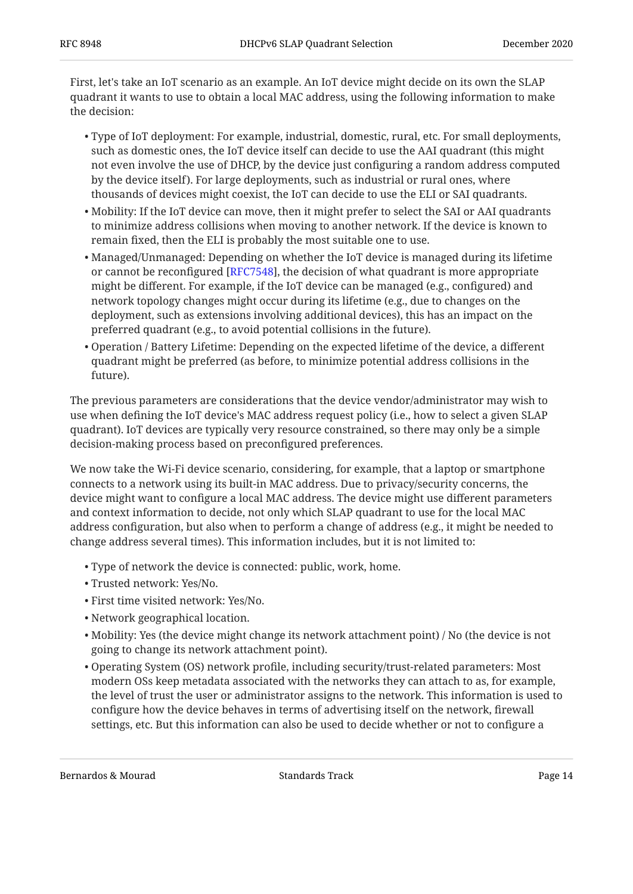First, let's take an IoT scenario as an example. An IoT device might decide on its own the SLAP quadrant it wants to use to obtain a local MAC address, using the following information to make the decision:

- Type of IoT deployment: For example, industrial, domestic, rural, etc. For small deployments, such as domestic ones, the IoT device itself can decide to use the AAI quadrant (this might not even involve the use of DHCP, by the device just configuring a random address computed by the device itself). For large deployments, such as industrial or rural ones, where thousands of devices might coexist, the IoT can decide to use the ELI or SAI quadrants.
- $\bullet$  Mobility: If the IoT device can move, then it might prefer to select the SAI or AAI quadrants to minimize address collisions when moving to another network. If the device is known to remain fixed, then the ELI is probably the most suitable one to use.
- Managed/Unmanaged: Depending on whether the IoT device is managed during its lifetime or cannot be reconfigured [\[RFC7548](#page-12-11)], the decision of what quadrant is more appropriate might be different. For example, if the IoT device can be managed (e.g., configured) and network topology changes might occur during its lifetime (e.g., due to changes on the deployment, such as extensions involving additional devices), this has an impact on the preferred quadrant (e.g., to avoid potential collisions in the future).
- Operation / Battery Lifetime: Depending on the expected lifetime of the device, a different quadrant might be preferred (as before, to minimize potential address collisions in the future).

The previous parameters are considerations that the device vendor/administrator may wish to use when defining the IoT device's MAC address request policy (i.e., how to select a given SLAP quadrant). IoT devices are typically very resource constrained, so there may only be a simple decision-making process based on preconfigured preferences.

We now take the Wi-Fi device scenario, considering, for example, that a laptop or smartphone connects to a network using its built-in MAC address. Due to privacy/security concerns, the device might want to configure a local MAC address. The device might use different parameters and context information to decide, not only which SLAP quadrant to use for the local MAC address configuration, but also when to perform a change of address (e.g., it might be needed to change address several times). This information includes, but it is not limited to:

- Type of network the device is connected: public, work, home. •
- Trusted network: Yes/No. •
- First time visited network: Yes/No. •
- Network geographical location. •
- $\bullet$  Mobility: Yes (the device might change its network attachment point) / No (the device is not going to change its network attachment point).
- Operating System (OS) network profile, including security/trust-related parameters: Most modern OSs keep metadata associated with the networks they can attach to as, for example, the level of trust the user or administrator assigns to the network. This information is used to configure how the device behaves in terms of advertising itself on the network, firewall settings, etc. But this information can also be used to decide whether or not to configure a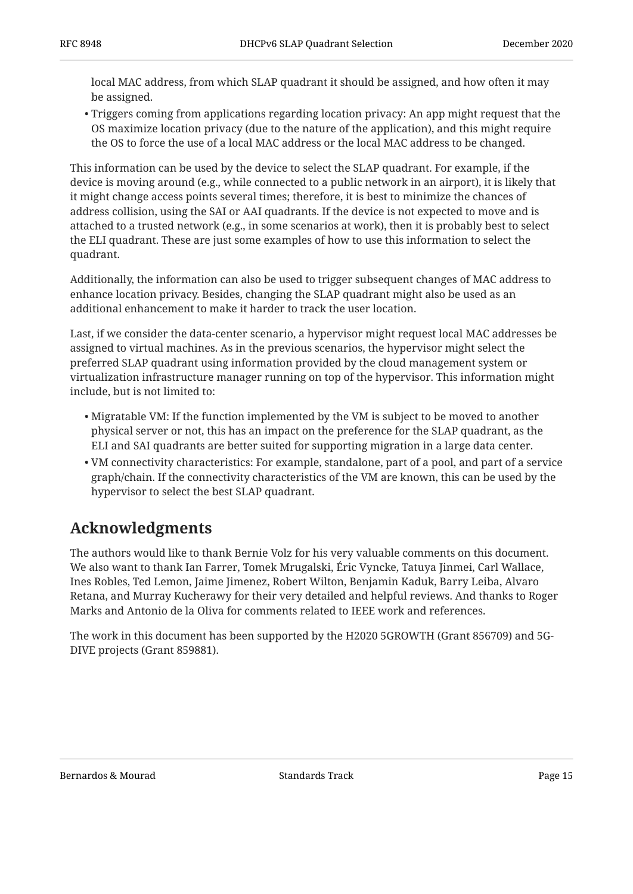local MAC address, from which SLAP quadrant it should be assigned, and how often it may be assigned.

Triggers coming from applications regarding location privacy: An app might request that the • OS maximize location privacy (due to the nature of the application), and this might require the OS to force the use of a local MAC address or the local MAC address to be changed.

This information can be used by the device to select the SLAP quadrant. For example, if the device is moving around (e.g., while connected to a public network in an airport), it is likely that it might change access points several times; therefore, it is best to minimize the chances of address collision, using the SAI or AAI quadrants. If the device is not expected to move and is attached to a trusted network (e.g., in some scenarios at work), then it is probably best to select the ELI quadrant. These are just some examples of how to use this information to select the quadrant.

Additionally, the information can also be used to trigger subsequent changes of MAC address to enhance location privacy. Besides, changing the SLAP quadrant might also be used as an additional enhancement to make it harder to track the user location.

Last, if we consider the data-center scenario, a hypervisor might request local MAC addresses be assigned to virtual machines. As in the previous scenarios, the hypervisor might select the preferred SLAP quadrant using information provided by the cloud management system or virtualization infrastructure manager running on top of the hypervisor. This information might include, but is not limited to:

- $\bullet$  Migratable VM: If the function implemented by the VM is subject to be moved to another physical server or not, this has an impact on the preference for the SLAP quadrant, as the ELI and SAI quadrants are better suited for supporting migration in a large data center.
- $\bullet$  VM connectivity characteristics: For example, standalone, part of a pool, and part of a service graph/chain. If the connectivity characteristics of the VM are known, this can be used by the hypervisor to select the best SLAP quadrant.

# <span id="page-14-0"></span>**[Acknowledgments](#page-14-0)**

The authors would like to thank Bernie Volz for his very valuable comments on this document. We also want to thank Ian Farrer, Tomek Mrugalski, Eric Vyncke, Tatuya Jinmei, Carl Wallace, Ines Robles, Ted Lemon, Jaime Jimenez, Robert Wilton, Benjamin Kaduk, Barry Leiba, Alvaro Retana, and Murray Kucherawy for their very detailed and helpful reviews. And thanks to Roger Marks and Antonio de la Oliva for comments related to IEEE work and references.

The work in this document has been supported by the H2020 5GROWTH (Grant 856709) and 5G-DIVE projects (Grant 859881).